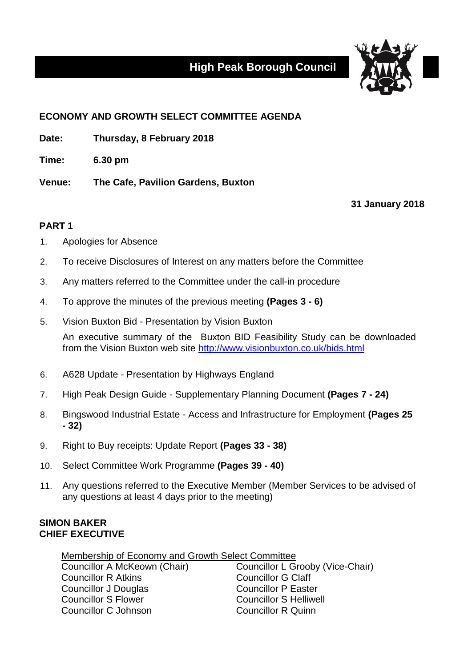## **High Peak Borough Council**



## **ECONOMY AND GROWTH SELECT COMMITTEE AGENDA**

**Date: Thursday, 8 February 2018**

**Time: 6.30 pm**

**Venue: The Cafe, Pavilion Gardens, Buxton**

**31 January 2018**

## **PART 1**

- 1. Apologies for Absence
- 2. To receive Disclosures of Interest on any matters before the Committee
- 3. Any matters referred to the Committee under the call-in procedure
- 4. To approve the minutes of the previous meeting **(Pages 3 - 6)**
- 5. Vision Buxton Bid Presentation by Vision Buxton

An executive summary of the Buxton BID Feasibility Study can be downloaded from the Vision Buxton web site<http://www.visionbuxton.co.uk/bids.html>

- 6. A628 Update Presentation by Highways England
- 7. High Peak Design Guide Supplementary Planning Document **(Pages 7 - 24)**
- 8. Bingswood Industrial Estate Access and Infrastructure for Employment **(Pages 25 - 32)**
- 9. Right to Buy receipts: Update Report **(Pages 33 - 38)**
- 10. Select Committee Work Programme **(Pages 39 - 40)**
- 11. Any questions referred to the Executive Member (Member Services to be advised of any questions at least 4 days prior to the meeting)

## **SIMON BAKER CHIEF EXECUTIVE**

Membership of Economy and Growth Select Committee Councillor A McKeown (Chair) Councillor L Grooby (Vice-Chair) Councillor R Atkins Councillor G Claff Councillor J Douglas Councillor P Easter Councillor S Flower Councillor S Helliwell Councillor C Johnson Councillor R Quinn